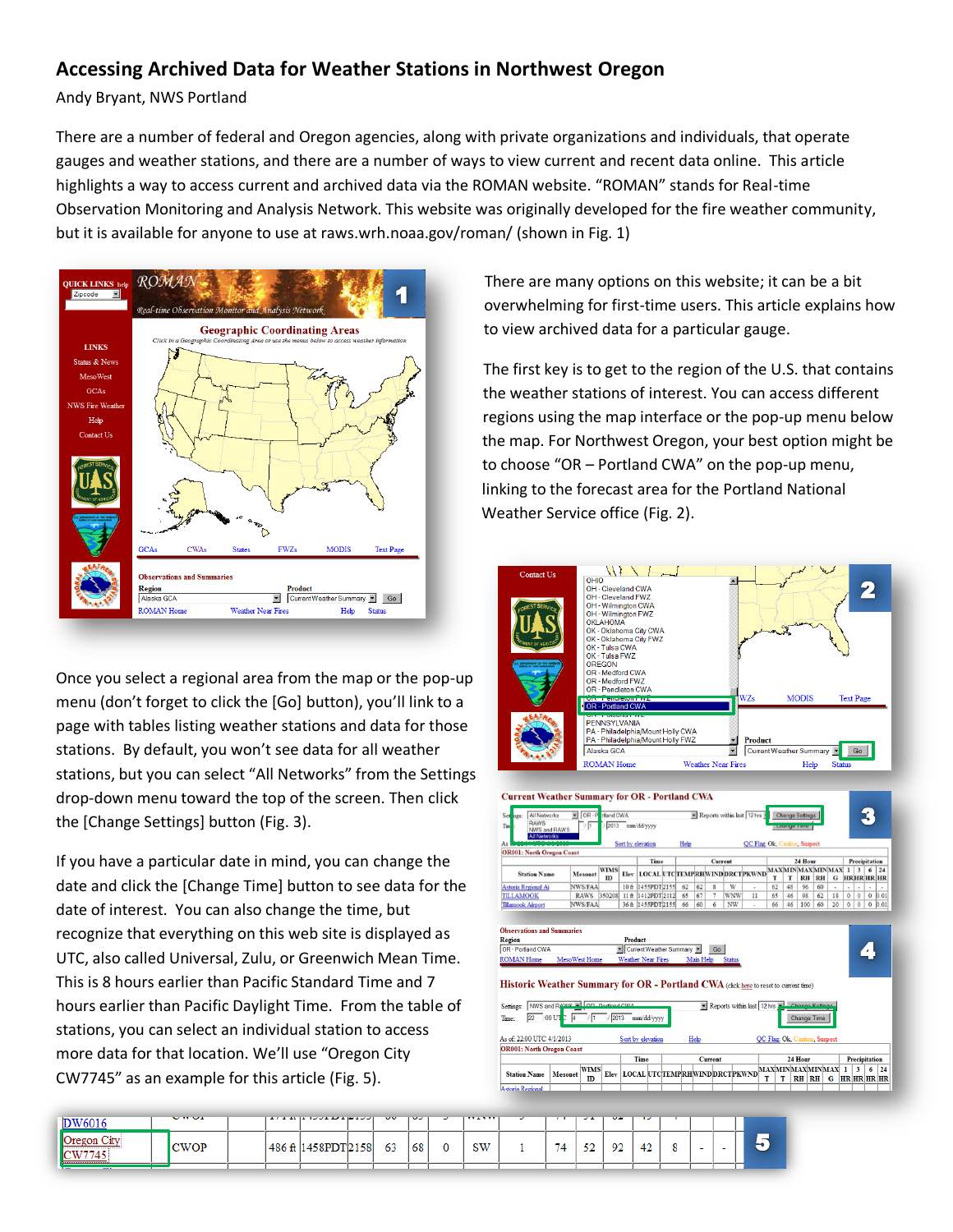## **Accessing Archived Data for Weather Stations in Northwest Oregon**

Andy Bryant, NWS Portland

There are a number of federal and Oregon agencies, along with private organizations and individuals, that operate gauges and weather stations, and there are a number of ways to view current and recent data online. This article highlights a way to access current and archived data via the ROMAN website. "ROMAN" stands for Real-time Observation Monitoring and Analysis Network. This website was originally developed for the fire weather community, but it is available for anyone to use at raws.wrh.noaa.gov/roman/ (shown in Fig. 1)



Once you select a regional area from the map or the pop-up menu (don't forget to click the [Go] button), you'll link to a page with tables listing weather stations and data for those stations. By default, you won't see data for all weather stations, but you can select "All Networks" from the Settings drop-down menu toward the top of the screen. Then click the [Change Settings] button (Fig. 3).

If you have a particular date in mind, you can change the date and click the [Change Time] button to see data for the date of interest. You can also change the time, but recognize that everything on this web site is displayed as UTC, also called Universal, Zulu, or Greenwich Mean Time. This is 8 hours earlier than Pacific Standard Time and 7 hours earlier than Pacific Daylight Time. From the table of stations, you can select an individual station to access more data for that location. We'll use "Oregon City CW7745" as an example for this article (Fig. 5).

There are many options on this website; it can be a bit overwhelming for first-time users. This article explains how to view archived data for a particular gauge.

The first key is to get to the region of the U.S. that contains the weather stations of interest. You can access different regions using the map interface or the pop-up menu below the map. For Northwest Oregon, your best option might be to choose "OR – Portland CWA" on the pop-up menu, linking to the forecast area for the Portland National Weather Service office (Fig. 2).